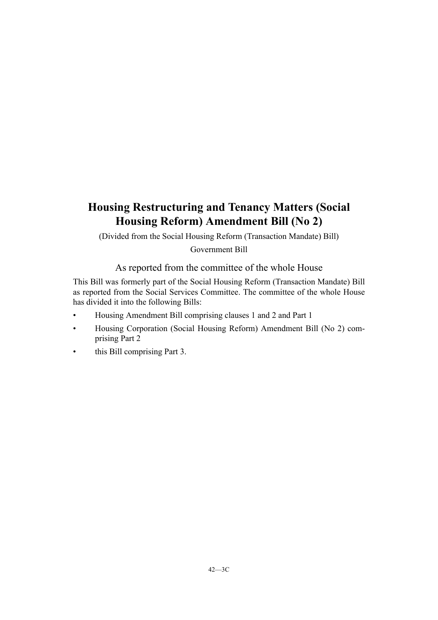# **Housing Restructuring and Tenancy Matters (Social Housing Reform) Amendment Bill (No 2)**

(Divided from the Social Housing Reform (Transaction Mandate) Bill)

Government Bill

As reported from the committee of the whole House

This Bill was formerly part of the Social Housing Reform (Transaction Mandate) Bill as reported from the Social Services Committee. The committee of the whole House has divided it into the following Bills:

- Housing Amendment Bill comprising clauses 1 and 2 and Part 1
- Housing Corporation (Social Housing Reform) Amendment Bill (No 2) comprising Part 2
- this Bill comprising Part 3.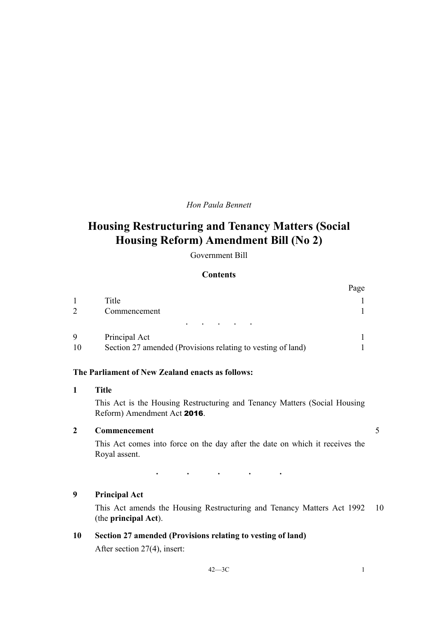## *Hon Paula Bennett*

# **Housing Restructuring and Tenancy Matters (Social Housing Reform) Amendment Bill (No 2)**

Government Bill

### **Contents**

|               |                                                             | Page |
|---------------|-------------------------------------------------------------|------|
|               | Title                                                       |      |
| $\mathcal{D}$ | Commencement                                                |      |
|               | $\bullet$<br>$\bullet$<br>$\bullet$                         |      |
| 9             | Principal Act                                               |      |
| 10            | Section 27 amended (Provisions relating to vesting of land) |      |

#### **The Parliament of New Zealand enacts as follows:**

#### **1 Title**

This Act is the Housing Restructuring and Tenancy Matters (Social Housing Reform) Amendment Act 2016.

# **2 Commencement** 5

This Act comes into force on the day after the date on which it receives the Royal assent.

## **9 Principal Act**

This Act amends the Housing Restructuring and Tenancy Matters Act 1992 10 (the **principal Act**).

# **10 Section 27 amended (Provisions relating to vesting of land)**

After section 27(4), insert:

· · · · ·